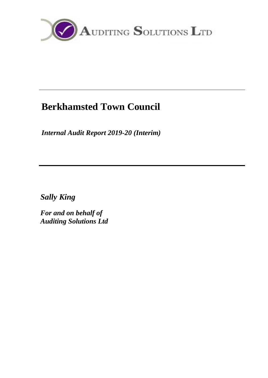

# **Berkhamsted Town Council**

*Internal Audit Report 2019-20 (Interim)*

*Sally King*

*For and on behalf of Auditing Solutions Ltd*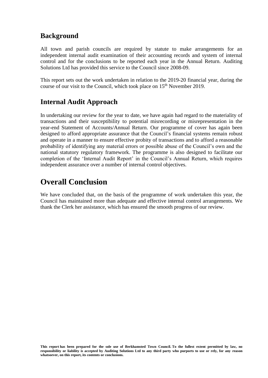## **Background**

All town and parish councils are required by statute to make arrangements for an independent internal audit examination of their accounting records and system of internal control and for the conclusions to be reported each year in the Annual Return. Auditing Solutions Ltd has provided this service to the Council since 2008-09.

This report sets out the work undertaken in relation to the 2019-20 financial year, during the course of our visit to the Council, which took place on 15<sup>th</sup> November 2019.

## **Internal Audit Approach**

In undertaking our review for the year to date, we have again had regard to the materiality of transactions and their susceptibility to potential misrecording or misrepresentation in the year-end Statement of Accounts/Annual Return. Our programme of cover has again been designed to afford appropriate assurance that the Council's financial systems remain robust and operate in a manner to ensure effective probity of transactions and to afford a reasonable probability of identifying any material errors or possible abuse of the Council's own and the national statutory regulatory framework. The programme is also designed to facilitate our completion of the 'Internal Audit Report' in the Council's Annual Return, which requires independent assurance over a number of internal control objectives.

## **Overall Conclusion**

We have concluded that, on the basis of the programme of work undertaken this year, the Council has maintained more than adequate and effective internal control arrangements. We thank the Clerk her assistance, which has ensured the smooth progress of our review.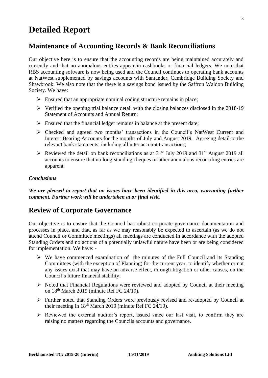# **Detailed Report**

## **Maintenance of Accounting Records & Bank Reconciliations**

Our objective here is to ensure that the accounting records are being maintained accurately and currently and that no anomalous entries appear in cashbooks or financial ledgers. We note that RBS accounting software is now being used and the Council continues to operating bank accounts at NatWest supplemented by savings accounts with Santander, Cambridge Building Society and Shawbrook. We also note that the there is a savings bond issued by the Saffron Waldon Building Society. We have:

- $\triangleright$  Ensured that an appropriate nominal coding structure remains in place;
- $\triangleright$  Verified the opening trial balance detail with the closing balances disclosed in the 2018-19 Statement of Accounts and Annual Return;
- $\triangleright$  Ensured that the financial ledger remains in balance at the present date;
- ➢ Checked and agreed two months' transactions in the Council's NatWest Current and Interest Bearing Accounts for the months of July and August 2019. Agreeing detail to the relevant bank statements, including all inter account transactions;
- $\triangleright$  Reviewed the detail on bank reconciliations as at 31<sup>st</sup> July 2019 and 31<sup>st</sup> August 2019 all accounts to ensure that no long-standing cheques or other anomalous reconciling entries are apparent.

#### *Conclusions*

*We are pleased to report that no issues have been identified in this area, warranting further comment. Further work will be undertaken at or final visit.*

### **Review of Corporate Governance**

Our objective is to ensure that the Council has robust corporate governance documentation and processes in place, and that, as far as we may reasonably be expected to ascertain (as we do not attend Council or Committee meetings) all meetings are conducted in accordance with the adopted Standing Orders and no actions of a potentially unlawful nature have been or are being considered for implementation. We have: -

- ➢ We have commenced examination of the minutes of the Full Council and its Standing Committees (with the exception of Planning) for the current year. to identify whether or not any issues exist that may have an adverse effect, through litigation or other causes, on the Council's future financial stability;
- ➢ Noted that Financial Regulations were reviewed and adopted by Council at their meeting on  $18<sup>th</sup>$  March 2019 (minute Ref FC 24/19).
- ➢ Further noted that Standing Orders were previously revised and re-adopted by Council at their meeting in 18<sup>th</sup> March 2019 (minute Ref FC 24/19).
- ➢ Reviewed the external auditor's report, issued since our last visit, to confirm they are raising no matters regarding the Councils accounts and governance.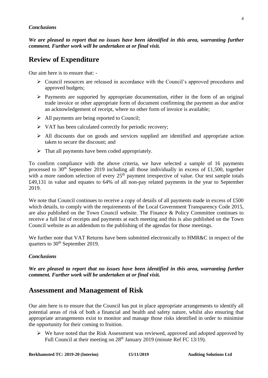#### *Conclusions*

*We are pleased to report that no issues have been identified in this area, warranting further comment. Further work will be undertaken at or final visit.*

## **Review of Expenditure**

Our aim here is to ensure that: -

- ➢ Council resources are released in accordance with the Council's approved procedures and approved budgets;
- $\triangleright$  Payments are supported by appropriate documentation, either in the form of an original trade invoice or other appropriate form of document confirming the payment as due and/or an acknowledgement of receipt, where no other form of invoice is available;
- ➢ All payments are being reported to Council;
- ➢ VAT has been calculated correctly for periodic recovery;
- $\triangleright$  All discounts due on goods and services supplied are identified and appropriate action taken to secure the discount; and
- $\triangleright$  That all payments have been coded appropriately.

To confirm compliance with the above criteria, we have selected a sample of 16 payments processed to 30<sup>th</sup> September 2019 including all those individually in excess of £1,500, together with a more random selection of every  $25<sup>th</sup>$  payment irrespective of value. Our test sample totals £49,131 in value and equates to 64% of all non-pay related payments in the year to September 2019.

We note that Council continues to receive a copy of details of all payments made in excess of £500 which details, to comply with the requirements of the Local Government Transparency Code 2015, are also published on the Town Council website. The Finance & Policy Committee continues to receive a full list of receipts and payments at each meeting and this is also published on the Town Council website as an addendum to the publishing of the agendas for those meetings.

We further note that VAT Returns have been submitted electronically to HMR&C in respect of the quarters to  $30<sup>th</sup>$  September 2019.

#### *Conclusions*

*We are pleased to report that no issues have been identified in this area, warranting further comment. Further work will be undertaken at or final visit.*

### **Assessment and Management of Risk**

Our aim here is to ensure that the Council has put in place appropriate arrangements to identify all potential areas of risk of both a financial and health and safety nature, whilst also ensuring that appropriate arrangements exist to monitor and manage those risks identified in order to minimise the opportunity for their coming to fruition.

➢ We have noted that the Risk Assessment was reviewed, approved and adopted approved by Full Council at their meeting on 28<sup>th</sup> January 2019 (minute Ref FC 13/19).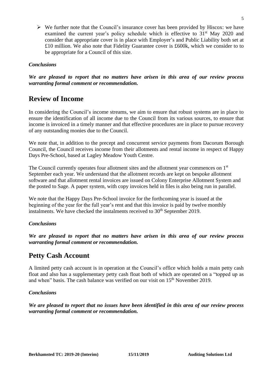$\triangleright$  We further note that the Council's insurance cover has been provided by Hiscox: we have examined the current year's policy schedule which is effective to 31<sup>st</sup> May 2020 and consider that appropriate cover is in place with Employer's and Public Liability both set at £10 million. We also note that Fidelity Guarantee cover is £600k, which we consider to to be appropriate for a Council of this size.

#### *Conclusions*

*We are pleased to report that no matters have arisen in this area of our review process warranting formal comment or recommendation.*

## **Review of Income**

In considering the Council's income streams, we aim to ensure that robust systems are in place to ensure the identification of all income due to the Council from its various sources, to ensure that income is invoiced in a timely manner and that effective procedures are in place to pursue recovery of any outstanding monies due to the Council.

We note that, in addition to the precept and concurrent service payments from Dacorum Borough Council, the Council receives income from their allotments and rental income in respect of Happy Days Pre-School, based at Lagley Meadow Youth Centre.

The Council currently operates four allotment sites and the allotment year commences on 1st September each year. We understand that the allotment records are kept on bespoke allotment software and that allotment rental invoices are issued on Colony Enterprise Allotment System and the posted to Sage. A paper system, with copy invoices held in files is also being run in parallel.

We note that the Happy Days Pre-School invoice for the forthcoming year is issued at the beginning of the year for the full year's rent and that this invoice is paid by twelve monthly instalments. We have checked the instalments received to  $30<sup>th</sup>$  September 2019.

#### *Conclusions*

*We are pleased to report that no matters have arisen in this area of our review process warranting formal comment or recommendation.*

## **Petty Cash Account**

A limited petty cash account is in operation at the Council's office which holds a main petty cash float and also has a supplementary petty cash float both of which are operated on a "topped up as and when" basis. The cash balance was verified on our visit on 15<sup>th</sup> November 2019.

#### *Conclusions*

*We are pleased to report that no issues have been identified in this area of our review process warranting formal comment or recommendation.*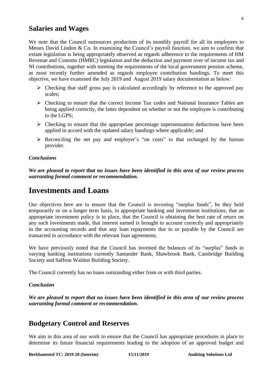#### **Salaries and Wages**

We note that the Council outsources production of its monthly payroll for all its employees to Messrs David Lindon & Co. In examining the Council's payroll function, we aim to confirm that extant legislation is being appropriately observed as regards adherence to the requirements of HM Revenue and Customs (HMRC) legislation and the deduction and payment over of income tax and NI contributions, together with meeting the requirements of the local government pension scheme, as most recently further amended as regards employee contribution bandings. To meet this objective, we have examined the July 2019 and August 2019 salary documentation as below:

- ➢ Checking that staff gross pay is calculated accordingly by reference to the approved pay scales;
- $\triangleright$  Checking to ensure that the correct Income Tax codes and National Insurance Tables are being applied correctly, the latter dependent on whether or not the employee is contributing to the LGPS;
- $\triangleright$  Checking to ensure that the appropriate percentage superannuation deductions have been applied in accord with the updated salary bandings where applicable; and
- ➢ Reconciling the net pay and employer's "on costs" to that recharged by the bureau provider.

#### *Conclusions*

*We are pleased to report that no issues have been identified in this area of our review process warranting formal comment or recommendation.*

## **Investments and Loans**

Our objectives here are to ensure that the Council is investing "surplus funds", be they held temporarily or on a longer term basis, in appropriate banking and investment institutions, that an appropriate investment policy is in place, that the Council is obtaining the best rate of return on any such investments made, that interest earned is brought to account correctly and appropriately in the accounting records and that any loan repayments due to or payable by the Council are transacted in accordance with the relevant loan agreements.

We have previously noted that the Council has invested the balances of its "surplus" funds in varying banking institutions currently Santander Bank, Shawbrook Bank, Cambridge Building Society and Saffron Waldon Building Society.

The Council currently has no loans outstanding either from or with third parties.

#### *Conclusion*

*We are pleased to report that no issues have been identified in this area of our review process warranting formal comment or recommendation.* 

## **Budgetary Control and Reserves**

We aim in this area of our work to ensure that the Council has appropriate procedures in place to determine its future financial requirements leading to the adoption of an approved budget and

**Berkhamsted TC: 2019-20 (Interim) 15/11/2019 Auditing Solutions Ltd**